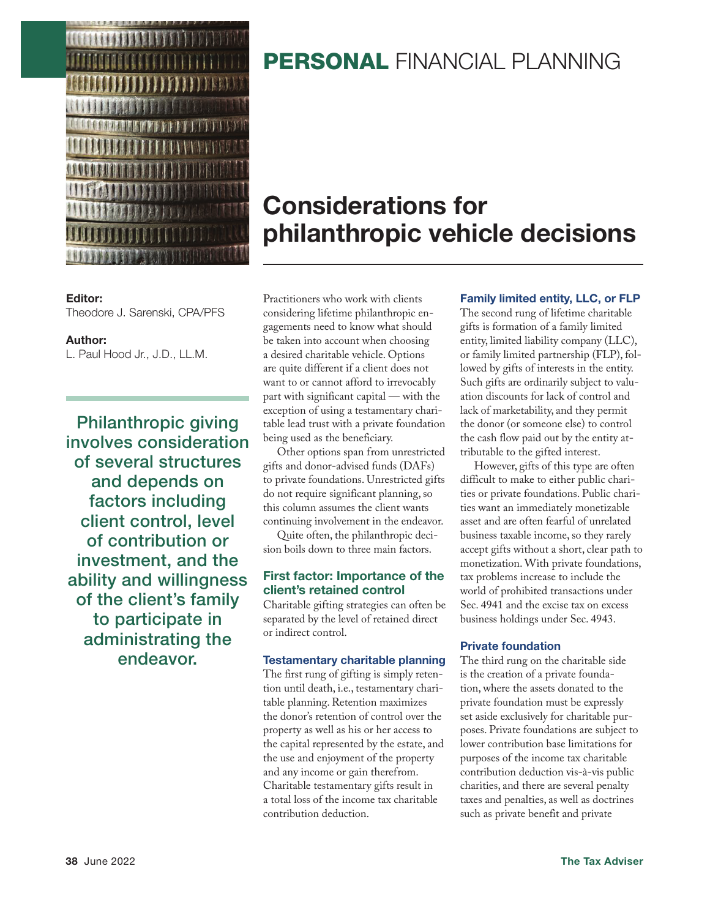

#### **Editor:**

Theodore J. Sarenski, CPA/PFS

#### **Author:**

L. Paul Hood Jr., J.D., LL.M.

**Philanthropic giving involves consideration of several structures and depends on factors including client control, level of contribution or investment, and the ability and willingness of the client's family to participate in administrating the endeavor.**

## **PERSONAL FINANCIAL PLANNING**

# **Considerations for philanthropic vehicle decisions**

Practitioners who work with clients considering lifetime philanthropic engagements need to know what should be taken into account when choosing a desired charitable vehicle. Options are quite different if a client does not want to or cannot afford to irrevocably part with significant capital — with the exception of using a testamentary charitable lead trust with a private foundation being used as the beneficiary.

Other options span from unrestricted gifts and donor-advised funds (DAFs) to private foundations. Unrestricted gifts do not require significant planning, so this column assumes the client wants continuing involvement in the endeavor.

Quite often, the philanthropic decision boils down to three main factors.

#### **First factor: Importance of the client's retained control**

Charitable gifting strategies can often be separated by the level of retained direct or indirect control.

#### **Testamentary charitable planning**

The first rung of gifting is simply retention until death, i.e., testamentary charitable planning. Retention maximizes the donor's retention of control over the property as well as his or her access to the capital represented by the estate, and the use and enjoyment of the property and any income or gain therefrom. Charitable testamentary gifts result in a total loss of the income tax charitable contribution deduction.

#### **Family limited entity, LLC, or FLP**

The second rung of lifetime charitable gifts is formation of a family limited entity, limited liability company (LLC), or family limited partnership (FLP), followed by gifts of interests in the entity. Such gifts are ordinarily subject to valuation discounts for lack of control and lack of marketability, and they permit the donor (or someone else) to control the cash flow paid out by the entity attributable to the gifted interest.

However, gifts of this type are often difficult to make to either public charities or private foundations. Public charities want an immediately monetizable asset and are often fearful of unrelated business taxable income, so they rarely accept gifts without a short, clear path to monetization. With private foundations, tax problems increase to include the world of prohibited transactions under Sec. 4941 and the excise tax on excess business holdings under Sec. 4943.

#### **Private foundation**

The third rung on the charitable side is the creation of a private foundation, where the assets donated to the private foundation must be expressly set aside exclusively for charitable purposes. Private foundations are subject to lower contribution base limitations for purposes of the income tax charitable contribution deduction vis-à-vis public charities, and there are several penalty taxes and penalties, as well as doctrines such as private benefit and private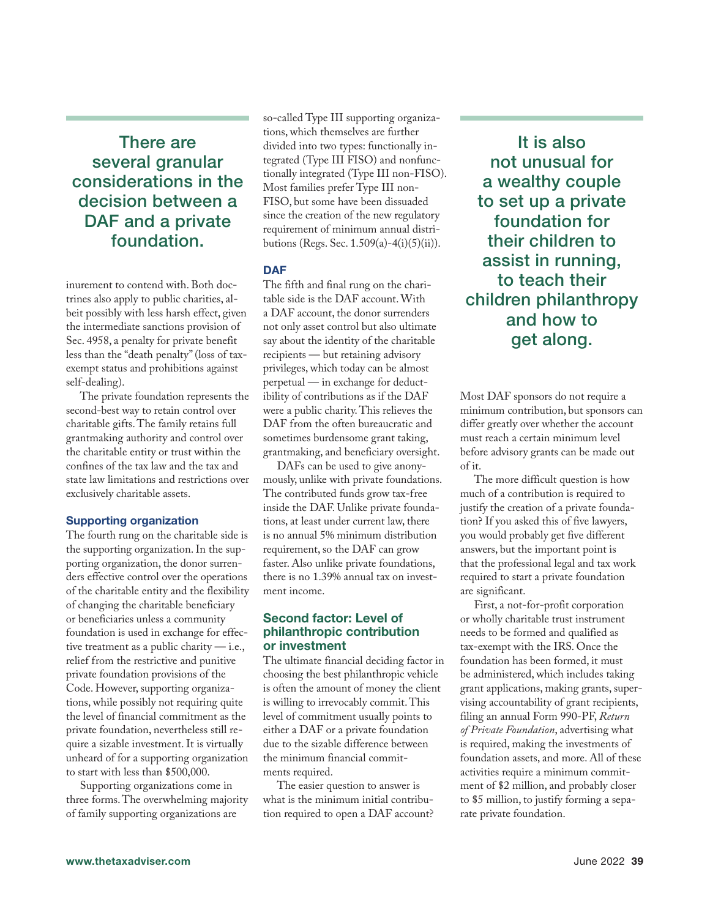**There are several granular considerations in the decision between a DAF and a private foundation.**

inurement to contend with. Both doctrines also apply to public charities, albeit possibly with less harsh effect, given the intermediate sanctions provision of Sec. 4958, a penalty for private benefit less than the "death penalty" (loss of taxexempt status and prohibitions against self-dealing).

The private foundation represents the second-best way to retain control over charitable gifts. The family retains full grantmaking authority and control over the charitable entity or trust within the confines of the tax law and the tax and state law limitations and restrictions over exclusively charitable assets.

#### **Supporting organization**

The fourth rung on the charitable side is the supporting organization. In the supporting organization, the donor surrenders effective control over the operations of the charitable entity and the flexibility of changing the charitable beneficiary or beneficiaries unless a community foundation is used in exchange for effective treatment as a public charity — i.e., relief from the restrictive and punitive private foundation provisions of the Code. However, supporting organizations, while possibly not requiring quite the level of financial commitment as the private foundation, nevertheless still require a sizable investment. It is virtually unheard of for a supporting organization to start with less than \$500,000.

Supporting organizations come in three forms. The overwhelming majority of family supporting organizations are

so-called Type III supporting organizations, which themselves are further divided into two types: functionally integrated (Type III FISO) and nonfunctionally integrated (Type III non-FISO). Most families prefer Type III non-FISO, but some have been dissuaded since the creation of the new regulatory requirement of minimum annual distributions (Regs. Sec. 1.509(a)-4(i)(5)(ii)).

#### **DAF**

The fifth and final rung on the charitable side is the DAF account. With a DAF account, the donor surrenders not only asset control but also ultimate say about the identity of the charitable recipients — but retaining advisory privileges, which today can be almost perpetual — in exchange for deductibility of contributions as if the DAF were a public charity. This relieves the DAF from the often bureaucratic and sometimes burdensome grant taking, grantmaking, and beneficiary oversight.

DAFs can be used to give anonymously, unlike with private foundations. The contributed funds grow tax-free inside the DAF. Unlike private foundations, at least under current law, there is no annual 5% minimum distribution requirement, so the DAF can grow faster. Also unlike private foundations, there is no 1.39% annual tax on investment income.

#### **Second factor: Level of philanthropic contribution or investment**

The ultimate financial deciding factor in choosing the best philanthropic vehicle is often the amount of money the client is willing to irrevocably commit. This level of commitment usually points to either a DAF or a private foundation due to the sizable difference between the minimum financial commitments required.

The easier question to answer is what is the minimum initial contribution required to open a DAF account?

**It is also not unusual for a wealthy couple to set up a private foundation for their children to assist in running, to teach their children philanthropy and how to get along.**

Most DAF sponsors do not require a minimum contribution, but sponsors can differ greatly over whether the account must reach a certain minimum level before advisory grants can be made out of it.

The more difficult question is how much of a contribution is required to justify the creation of a private foundation? If you asked this of five lawyers, you would probably get five different answers, but the important point is that the professional legal and tax work required to start a private foundation are significant.

First, a not-for-profit corporation or wholly charitable trust instrument needs to be formed and qualified as tax-exempt with the IRS. Once the foundation has been formed, it must be administered, which includes taking grant applications, making grants, supervising accountability of grant recipients, filing an annual Form 990-PF, *Return of Private Foundation*, advertising what is required, making the investments of foundation assets, and more. All of these activities require a minimum commitment of \$2 million, and probably closer to \$5 million, to justify forming a separate private foundation.